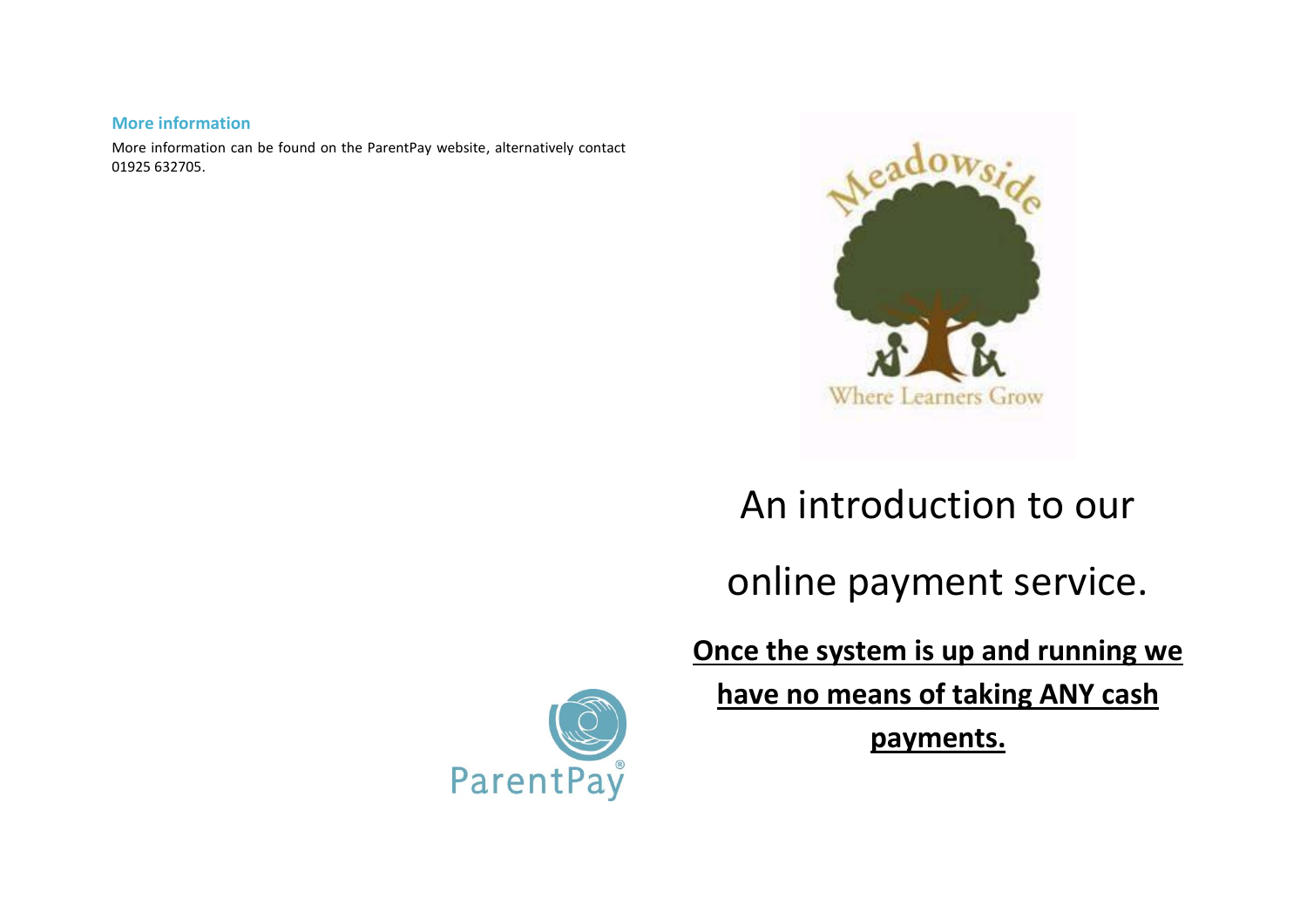## **More information**

More information can be found on the ParentPay website, alternatively contact 01925 632705.



# An introduction to our

online payment service.

**Once the system is up and running we** 

**have no means of taking ANY cash** 

**payments.**